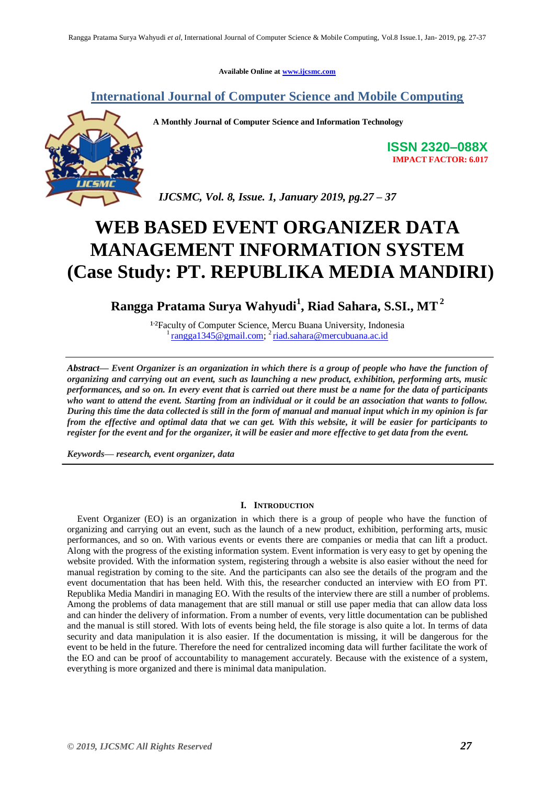**Available Online at [www.ijcsmc.com](http://www.ijcsmc.com/)**

# **International Journal of Computer Science and Mobile Computing**



**A Monthly Journal of Computer Science and Information Technology**

**ISSN 2320–088X IMPACT FACTOR: 6.017**

 *IJCSMC, Vol. 8, Issue. 1, January 2019, pg.27 – 37*

# **WEB BASED EVENT ORGANIZER DATA MANAGEMENT INFORMATION SYSTEM (Case Study: PT. REPUBLIKA MEDIA MANDIRI)**

**Rangga Pratama Surya Wahyudi<sup>1</sup> , Riad Sahara, S.SI., MT 2**

<sup>12</sup> Faculty of Computer Science, Mercu Buana University, Indonesia <sup>1</sup> [rangga1345@gmail.com;](mailto:rangga1345@gmail.com) <sup>2</sup> [riad.sahara@mercubuana.ac.id](mailto:riad.sahara@mercubuana.ac.id)

*Abstract— Event Organizer is an organization in which there is a group of people who have the function of organizing and carrying out an event, such as launching a new product, exhibition, performing arts, music performances, and so on. In every event that is carried out there must be a name for the data of participants who want to attend the event. Starting from an individual or it could be an association that wants to follow. During this time the data collected is still in the form of manual and manual input which in my opinion is far from the effective and optimal data that we can get. With this website, it will be easier for participants to register for the event and for the organizer, it will be easier and more effective to get data from the event.*

*Keywords— research, event organizer, data*

# **I. INTRODUCTION**

Event Organizer (EO) is an organization in which there is a group of people who have the function of organizing and carrying out an event, such as the launch of a new product, exhibition, performing arts, music performances, and so on. With various events or events there are companies or media that can lift a product. Along with the progress of the existing information system. Event information is very easy to get by opening the website provided. With the information system, registering through a website is also easier without the need for manual registration by coming to the site. And the participants can also see the details of the program and the event documentation that has been held. With this, the researcher conducted an interview with EO from PT. Republika Media Mandiri in managing EO. With the results of the interview there are still a number of problems. Among the problems of data management that are still manual or still use paper media that can allow data loss and can hinder the delivery of information. From a number of events, very little documentation can be published and the manual is still stored. With lots of events being held, the file storage is also quite a lot. In terms of data security and data manipulation it is also easier. If the documentation is missing, it will be dangerous for the event to be held in the future. Therefore the need for centralized incoming data will further facilitate the work of the EO and can be proof of accountability to management accurately. Because with the existence of a system, everything is more organized and there is minimal data manipulation.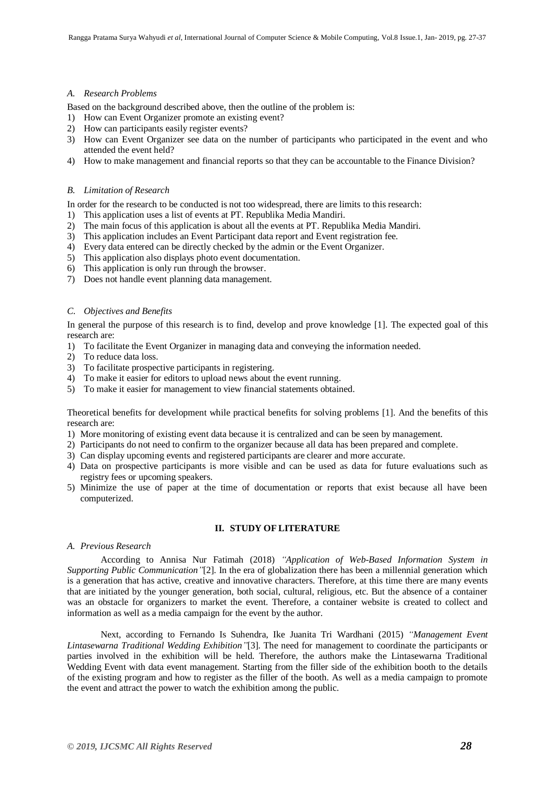#### *A. Research Problems*

Based on the background described above, then the outline of the problem is:

- 1) How can Event Organizer promote an existing event?
- 2) How can participants easily register events?
- 3) How can Event Organizer see data on the number of participants who participated in the event and who attended the event held?
- 4) How to make management and financial reports so that they can be accountable to the Finance Division?

#### *B. Limitation of Research*

In order for the research to be conducted is not too widespread, there are limits to this research:

- 1) This application uses a list of events at PT. Republika Media Mandiri.
- 2) The main focus of this application is about all the events at PT. Republika Media Mandiri.
- 3) This application includes an Event Participant data report and Event registration fee.
- 4) Every data entered can be directly checked by the admin or the Event Organizer.
- 5) This application also displays photo event documentation.
- 6) This application is only run through the browser.
- 7) Does not handle event planning data management.

# *C. Objectives and Benefits*

In general the purpose of this research is to find, develop and prove knowledge [1]. The expected goal of this research are:

- 1) To facilitate the Event Organizer in managing data and conveying the information needed.
- 2) To reduce data loss.
- 3) To facilitate prospective participants in registering.
- 4) To make it easier for editors to upload news about the event running.
- 5) To make it easier for management to view financial statements obtained.

Theoretical benefits for development while practical benefits for solving problems [1]. And the benefits of this research are:

- 1) More monitoring of existing event data because it is centralized and can be seen by management.
- 2) Participants do not need to confirm to the organizer because all data has been prepared and complete.
- 3) Can display upcoming events and registered participants are clearer and more accurate.
- 4) Data on prospective participants is more visible and can be used as data for future evaluations such as registry fees or upcoming speakers.
- 5) Minimize the use of paper at the time of documentation or reports that exist because all have been computerized.

# **II. STUDY OF LITERATURE**

## *A. Previous Research*

According to Annisa Nur Fatimah (2018) *"Application of Web-Based Information System in Supporting Public Communication"*[2]. In the era of globalization there has been a millennial generation which is a generation that has active, creative and innovative characters. Therefore, at this time there are many events that are initiated by the younger generation, both social, cultural, religious, etc. But the absence of a container was an obstacle for organizers to market the event. Therefore, a container website is created to collect and information as well as a media campaign for the event by the author.

Next, according to Fernando Is Suhendra, Ike Juanita Tri Wardhani (2015) *"Management Event Lintasewarna Traditional Wedding Exhibition"*[3]. The need for management to coordinate the participants or parties involved in the exhibition will be held. Therefore, the authors make the Lintasewarna Traditional Wedding Event with data event management. Starting from the filler side of the exhibition booth to the details of the existing program and how to register as the filler of the booth. As well as a media campaign to promote the event and attract the power to watch the exhibition among the public.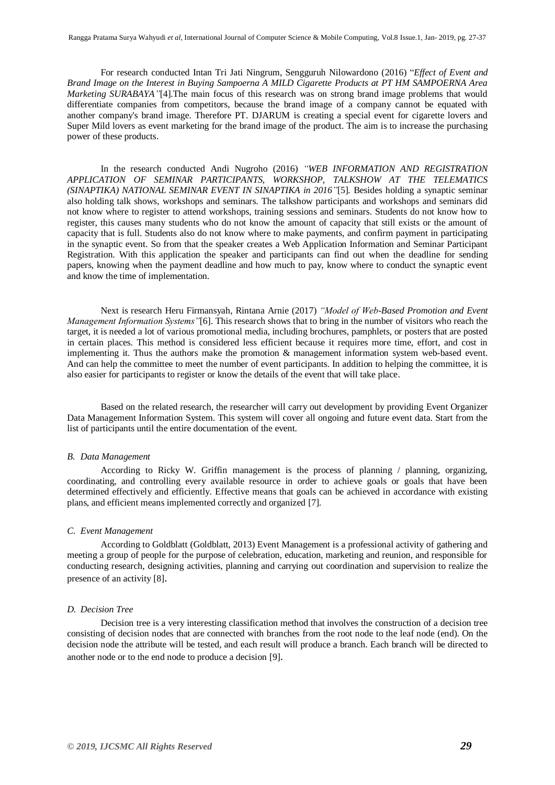For research conducted Intan Tri Jati Ningrum, Sengguruh Nilowardono (2016) "*Effect of Event and Brand Image on the Interest in Buying Sampoerna A MILD Cigarette Products at PT HM SAMPOERNA Area Marketing SURABAYA"*[4].The main focus of this research was on strong brand image problems that would differentiate companies from competitors, because the brand image of a company cannot be equated with another company's brand image. Therefore PT. DJARUM is creating a special event for cigarette lovers and Super Mild lovers as event marketing for the brand image of the product. The aim is to increase the purchasing power of these products.

In the research conducted Andi Nugroho (2016) *"WEB INFORMATION AND REGISTRATION APPLICATION OF SEMINAR PARTICIPANTS, WORKSHOP, TALKSHOW AT THE TELEMATICS (SINAPTIKA) NATIONAL SEMINAR EVENT IN SINAPTIKA in 2016"*[5]*.* Besides holding a synaptic seminar also holding talk shows, workshops and seminars. The talkshow participants and workshops and seminars did not know where to register to attend workshops, training sessions and seminars. Students do not know how to register, this causes many students who do not know the amount of capacity that still exists or the amount of capacity that is full. Students also do not know where to make payments, and confirm payment in participating in the synaptic event. So from that the speaker creates a Web Application Information and Seminar Participant Registration. With this application the speaker and participants can find out when the deadline for sending papers, knowing when the payment deadline and how much to pay, know where to conduct the synaptic event and know the time of implementation.

Next is research Heru Firmansyah, Rintana Arnie (2017) *"Model of Web-Based Promotion and Event Management Information Systems"*[6]. This research shows that to bring in the number of visitors who reach the target, it is needed a lot of various promotional media, including brochures, pamphlets, or posters that are posted in certain places. This method is considered less efficient because it requires more time, effort, and cost in implementing it. Thus the authors make the promotion & management information system web-based event. And can help the committee to meet the number of event participants. In addition to helping the committee, it is also easier for participants to register or know the details of the event that will take place.

Based on the related research, the researcher will carry out development by providing Event Organizer Data Management Information System. This system will cover all ongoing and future event data. Start from the list of participants until the entire documentation of the event.

#### *B. Data Management*

According to Ricky W. Griffin management is the process of planning / planning, organizing, coordinating, and controlling every available resource in order to achieve goals or goals that have been determined effectively and efficiently. Effective means that goals can be achieved in accordance with existing plans, and efficient means implemented correctly and organized [7].

#### *C. Event Management*

According to Goldblatt (Goldblatt, 2013) Event Management is a professional activity of gathering and meeting a group of people for the purpose of celebration, education, marketing and reunion, and responsible for conducting research, designing activities, planning and carrying out coordination and supervision to realize the presence of an activity [8].

#### *D. Decision Tree*

Decision tree is a very interesting classification method that involves the construction of a decision tree consisting of decision nodes that are connected with branches from the root node to the leaf node (end). On the decision node the attribute will be tested, and each result will produce a branch. Each branch will be directed to another node or to the end node to produce a decision [9].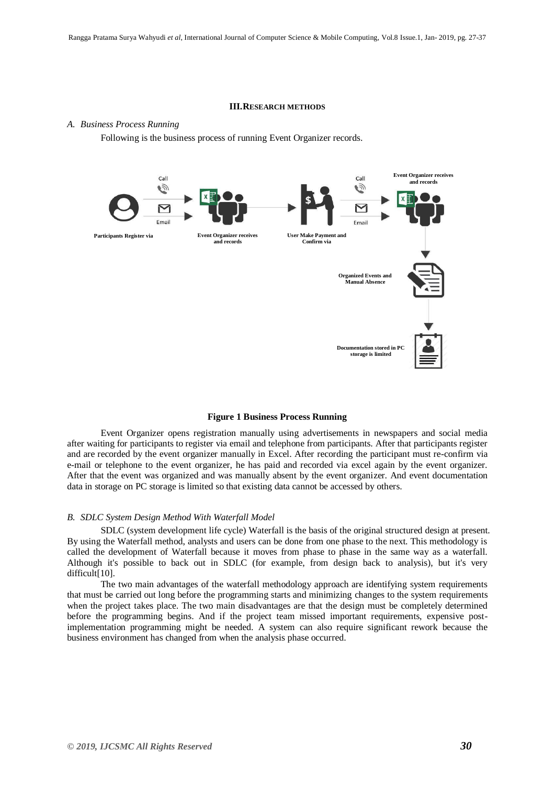#### **III.RESEARCH METHODS**

#### *A. Business Process Running*

Following is the business process of running Event Organizer records.



### **Figure 1 Business Process Running**

Event Organizer opens registration manually using advertisements in newspapers and social media after waiting for participants to register via email and telephone from participants. After that participants register and are recorded by the event organizer manually in Excel. After recording the participant must re-confirm via e-mail or telephone to the event organizer, he has paid and recorded via excel again by the event organizer. After that the event was organized and was manually absent by the event organizer. And event documentation data in storage on PC storage is limited so that existing data cannot be accessed by others.

#### *B. SDLC System Design Method With Waterfall Model*

SDLC (system development life cycle) Waterfall is the basis of the original structured design at present. By using the Waterfall method, analysts and users can be done from one phase to the next. This methodology is called the development of Waterfall because it moves from phase to phase in the same way as a waterfall. Although it's possible to back out in SDLC (for example, from design back to analysis), but it's very difficult[10].

The two main advantages of the waterfall methodology approach are identifying system requirements that must be carried out long before the programming starts and minimizing changes to the system requirements when the project takes place. The two main disadvantages are that the design must be completely determined before the programming begins. And if the project team missed important requirements, expensive postimplementation programming might be needed. A system can also require significant rework because the business environment has changed from when the analysis phase occurred.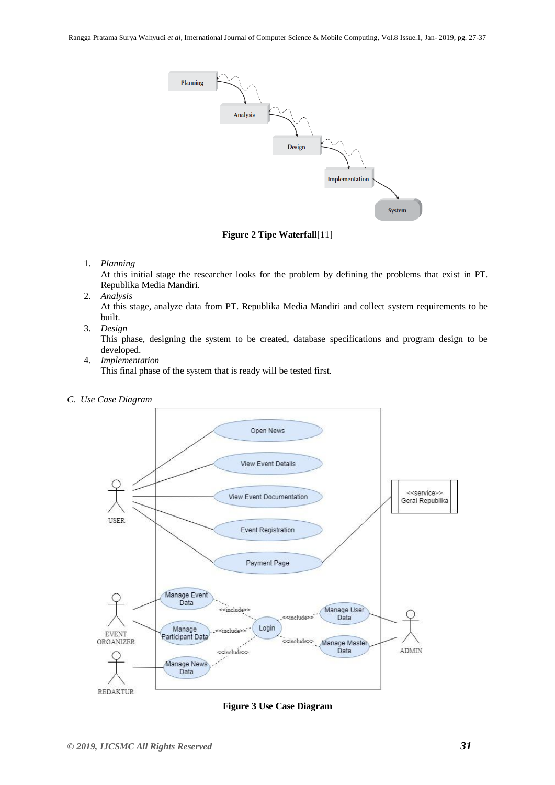

**Figure 2 Tipe Waterfall**[11]

# 1. *Planning*

At this initial stage the researcher looks for the problem by defining the problems that exist in PT. Republika Media Mandiri.

2. *Analysis*

At this stage, analyze data from PT. Republika Media Mandiri and collect system requirements to be built.

3. *Design*

This phase, designing the system to be created, database specifications and program design to be developed.

4. *Implementation*

This final phase of the system that is ready will be tested first.

*C. Use Case Diagram*



**Figure 3 Use Case Diagram**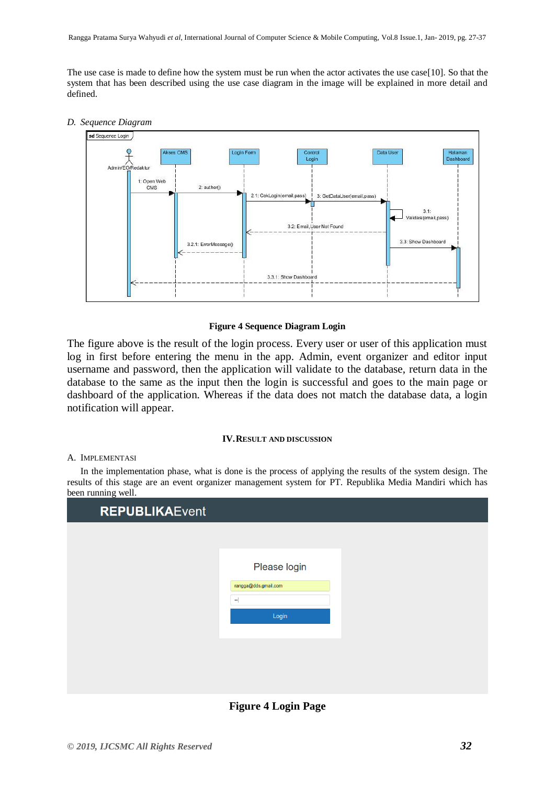The use case is made to define how the system must be run when the actor activates the use case[10]. So that the system that has been described using the use case diagram in the image will be explained in more detail and defined.

### *D. Sequence Diagram*



# **Figure 4 Sequence Diagram Login**

The figure above is the result of the login process. Every user or user of this application must log in first before entering the menu in the app. Admin, event organizer and editor input username and password, then the application will validate to the database, return data in the database to the same as the input then the login is successful and goes to the main page or dashboard of the application. Whereas if the data does not match the database data, a login notification will appear.

#### **IV.RESULT AND DISCUSSION**

#### A. IMPLEMENTASI

In the implementation phase, what is done is the process of applying the results of the system design. The results of this stage are an event organizer management system for PT. Republika Media Mandiri which has been running well.

| <b>REPUBLIKAEvent</b> |                                          |  |
|-----------------------|------------------------------------------|--|
|                       |                                          |  |
|                       | Please login                             |  |
|                       | rangga@dds.gmail.com<br>$\bullet\bullet$ |  |
|                       | Login                                    |  |
|                       |                                          |  |
|                       |                                          |  |

**Figure 4 Login Page**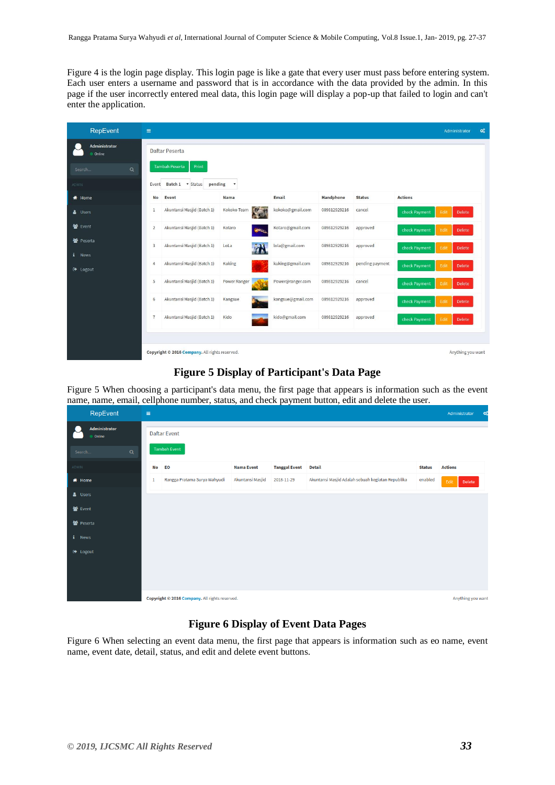Figure 4 is the login page display. This login page is like a gate that every user must pass before entering system. Each user enters a username and password that is in accordance with the data provided by the admin. In this page if the user incorrectly entered meal data, this login page will display a pop-up that failed to login and can't enter the application.

| RepEvent                            | $\equiv$                                       |                                      |                   |                  |                 | Administrator                          | $\mathbf{Q}_{\mathrm{o}}^{0}$ |
|-------------------------------------|------------------------------------------------|--------------------------------------|-------------------|------------------|-----------------|----------------------------------------|-------------------------------|
| Administrator<br>Online             | Daftar Peserta                                 |                                      |                   |                  |                 |                                        |                               |
| $\alpha$<br>Search                  | <b>Tambah Peserta</b><br>Print                 |                                      |                   |                  |                 |                                        |                               |
| <b>ADMIN</b>                        | Batch 1 <b>v</b> Status<br>Event               | pending<br>$\boldsymbol{\mathrm{v}}$ |                   |                  |                 |                                        |                               |
| & Home                              | <b>No</b><br>Event                             | <b>Nama</b>                          | Email             | <b>Handphone</b> | <b>Status</b>   | <b>Actions</b>                         |                               |
| & Users                             | Akuntansi Masjid (Batch 1)<br>$\mathbf{1}$     | 257<br>Kokoko Team                   | kokoko@gmail.com  | 089812929216     | cancel          | Edit<br><b>Delete</b><br>check Payment |                               |
| 警 Event                             | Akuntansi Masjid (Batch 1)<br>$\overline{2}$   | Kotaro<br><b>AREA</b>                | Kotaro@gmail.com  | 089812929216     | approved        | Edit<br>check Payment<br>Delete        |                               |
| 警 Peserta                           | Akuntansi Masjid (Batch 1)<br>3                | T<br>LoLa                            | lola@gmail.com    | 089812929216     | approved        | Edit<br>Delete<br>check Payment        |                               |
| i<br><b>News</b><br><b>E</b> Logout | Akuntansi Masjid (Batch 1)<br>$\overline{4}$   | <b>Kuking</b>                        | kuking@gmail.com  | 089812929216     | pending payment | Edit<br>check Payment<br>Delete        |                               |
|                                     | 5<br>Akuntansi Masjid (Batch 1)                | <b>Power Ranger</b>                  | Power@ranger.com  | 089812929216     | cancel          | Edit<br>check Payment<br><b>Delete</b> |                               |
|                                     | Akuntansi Masjid (Batch 1)<br>6                | Kangsue                              | kangsue@gmail.com | 089812929216     | approved        | check Payment<br>Edit<br>Delete        |                               |
|                                     | Akuntansi Masjid (Batch 1)<br>$\overline{7}$   | Kido                                 | kido@gmail.com    | 089812929216     | approved        | check Payment<br>Edit<br>Delete        |                               |
|                                     | Copyright @ 2016 Company. All rights reserved. |                                      |                   |                  |                 | Anything you want                      |                               |

# **Figure 5 Display of Participant's Data Page**

Figure 5 When choosing a participant's data menu, the first page that appears is information such as the event name, name, email, cellphone number, status, and check payment button, edit and delete the user.

| RepEvent                | $\equiv$                                       |                              |                   | Administrator<br>ಂ   |                                                   |               |                |
|-------------------------|------------------------------------------------|------------------------------|-------------------|----------------------|---------------------------------------------------|---------------|----------------|
| Administrator<br>Online | <b>Daftar Event</b>                            |                              |                   |                      |                                                   |               |                |
| $\alpha$<br>Search      | <b>Tambah Event</b>                            |                              |                   |                      |                                                   |               |                |
| ADMIN                   | <b>No</b>                                      | EO                           | <b>Nama Event</b> | <b>Tanggal Event</b> | <b>Detail</b>                                     | <b>Status</b> | <b>Actions</b> |
| <b>W</b> Home           | 1                                              | Rangga Pratama Surya Wahyudi | Akuntansi Masjid  | 2018-11-29           | Akuntansi Masjid Adalah sebuah kegiatan Republika | enabled       | Edit<br>Delete |
| & Users                 |                                                |                              |                   |                      |                                                   |               |                |
| 월 Event                 |                                                |                              |                   |                      |                                                   |               |                |
| <b>皆</b> Peserta        |                                                |                              |                   |                      |                                                   |               |                |
| i News                  |                                                |                              |                   |                      |                                                   |               |                |
| $\rightarrow$ Logout    |                                                |                              |                   |                      |                                                   |               |                |
|                         |                                                |                              |                   |                      |                                                   |               |                |
|                         |                                                |                              |                   |                      |                                                   |               |                |
|                         | Copyright @ 2016 Company. All rights reserved. |                              |                   | Anything you want    |                                                   |               |                |

# **Figure 6 Display of Event Data Pages**

Figure 6 When selecting an event data menu, the first page that appears is information such as eo name, event name, event date, detail, status, and edit and delete event buttons.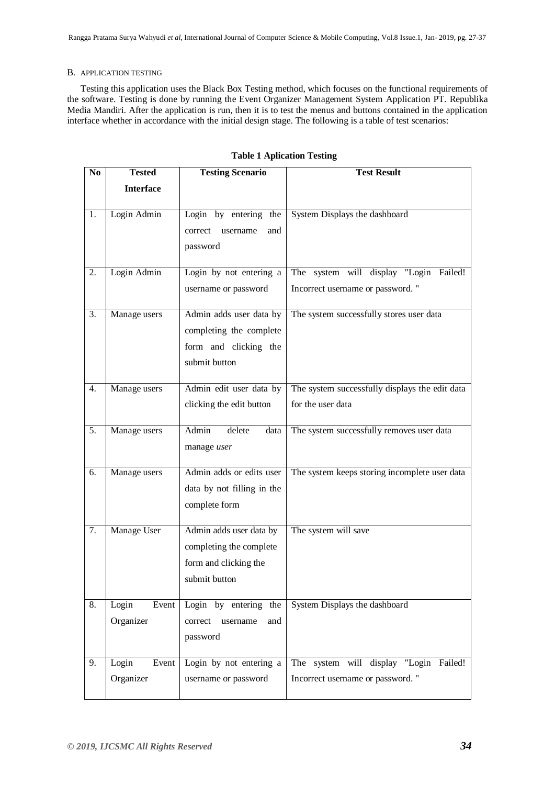# B. APPLICATION TESTING

Testing this application uses the Black Box Testing method, which focuses on the functional requirements of the software. Testing is done by running the Event Organizer Management System Application PT. Republika Media Mandiri. After the application is run, then it is to test the menus and buttons contained in the application interface whether in accordance with the initial design stage. The following is a table of test scenarios:

| $\bf No$ | <b>Tested</b>               | <b>Testing Scenario</b>                                                                      | <b>Test Result</b>                                                         |
|----------|-----------------------------|----------------------------------------------------------------------------------------------|----------------------------------------------------------------------------|
|          | <b>Interface</b>            |                                                                                              |                                                                            |
| 1.       | Login Admin                 | Login by entering the<br>username<br>and<br>correct<br>password                              | System Displays the dashboard                                              |
| 2.       | Login Admin                 | Login by not entering a<br>username or password                                              | The system will display "Login Failed!<br>Incorrect username or password." |
| 3.       | Manage users                | Admin adds user data by<br>completing the complete<br>form and clicking the<br>submit button | The system successfully stores user data                                   |
| 4.       | Manage users                | Admin edit user data by<br>clicking the edit button                                          | The system successfully displays the edit data<br>for the user data        |
| 5.       | Manage users                | Admin<br>delete<br>data<br>manage user                                                       | The system successfully removes user data                                  |
| 6.       | Manage users                | Admin adds or edits user<br>data by not filling in the<br>complete form                      | The system keeps storing incomplete user data                              |
| 7.       | Manage User                 | Admin adds user data by<br>completing the complete<br>form and clicking the<br>submit button | The system will save                                                       |
| 8.       | Login<br>Event<br>Organizer | Login by entering the<br>username<br>correct<br>and<br>password                              | System Displays the dashboard                                              |
| 9.       | Login<br>Event<br>Organizer | Login by not entering a<br>username or password                                              | The system will display "Login Failed!<br>Incorrect username or password." |

## **Table 1 Aplication Testing**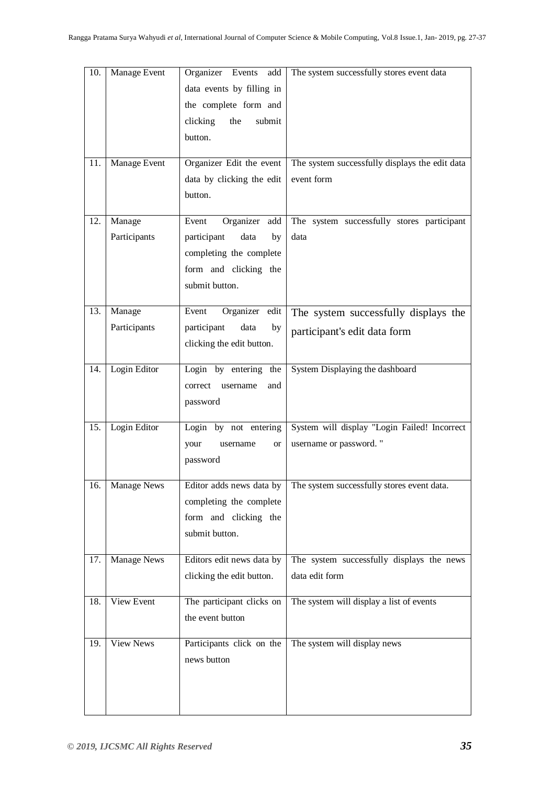| 10. | Manage Event           | Organizer Events<br>add<br>data events by filling in<br>the complete form and<br>clicking<br>submit<br>the<br>button.     | The system successfully stores event data                              |
|-----|------------------------|---------------------------------------------------------------------------------------------------------------------------|------------------------------------------------------------------------|
| 11. | Manage Event           | Organizer Edit the event<br>data by clicking the edit<br>button.                                                          | The system successfully displays the edit data<br>event form           |
| 12. | Manage<br>Participants | Organizer add<br>Event<br>participant<br>data<br>by<br>completing the complete<br>form and clicking the<br>submit button. | The system successfully stores participant<br>data                     |
| 13. | Manage<br>Participants | Event<br>Organizer edit<br>participant<br>data<br>by<br>clicking the edit button.                                         | The system successfully displays the<br>participant's edit data form   |
| 14. | Login Editor           | Login by entering the<br>correct<br>username<br>and<br>password                                                           | System Displaying the dashboard                                        |
| 15. | Login Editor           | Login by not entering<br>your<br>username<br><b>or</b><br>password                                                        | System will display "Login Failed! Incorrect<br>username or password." |
| 16. | <b>Manage News</b>     | Editor adds news data by<br>completing the complete<br>form and clicking the<br>submit button.                            | The system successfully stores event data.                             |
| 17. | <b>Manage News</b>     | Editors edit news data by<br>clicking the edit button.                                                                    | The system successfully displays the news<br>data edit form            |
| 18. | View Event             | The participant clicks on<br>the event button                                                                             | The system will display a list of events                               |
| 19. | <b>View News</b>       | Participants click on the<br>news button                                                                                  | The system will display news                                           |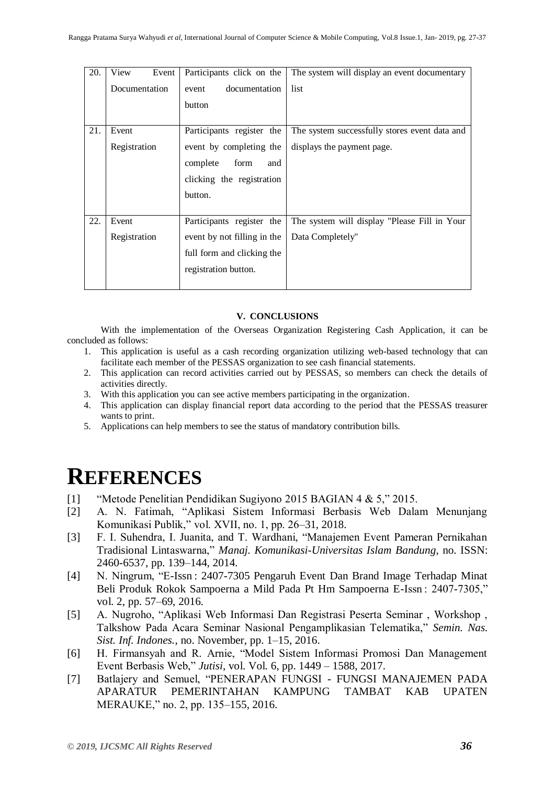| 20. | Event<br>View | Participants click on the   | The system will display an event documentary  |
|-----|---------------|-----------------------------|-----------------------------------------------|
|     | Documentation | documentation<br>event      | list                                          |
|     |               | button                      |                                               |
| 21. | Event         | Participants register the   | The system successfully stores event data and |
|     | Registration  | event by completing the     | displays the payment page.                    |
|     |               | form<br>complete<br>and     |                                               |
|     |               | clicking the registration   |                                               |
|     |               | button.                     |                                               |
|     |               |                             |                                               |
| 22. | Event         | Participants register the   | The system will display "Please Fill in Your  |
|     | Registration  | event by not filling in the | Data Completely"                              |
|     |               | full form and clicking the  |                                               |
|     |               | registration button.        |                                               |
|     |               |                             |                                               |

# **V. CONCLUSIONS**

With the implementation of the Overseas Organization Registering Cash Application, it can be concluded as follows:

- 1. This application is useful as a cash recording organization utilizing web-based technology that can facilitate each member of the PESSAS organization to see cash financial statements.
- 2. This application can record activities carried out by PESSAS, so members can check the details of activities directly.
- 3. With this application you can see active members participating in the organization.
- 4. This application can display financial report data according to the period that the PESSAS treasurer wants to print.
- 5. Applications can help members to see the status of mandatory contribution bills.

# **REFERENCES**

- [1] "Metode Penelitian Pendidikan Sugiyono 2015 BAGIAN 4 & 5," 2015.
- [2] A. N. Fatimah, "Aplikasi Sistem Informasi Berbasis Web Dalam Menunjang Komunikasi Publik," vol. XVII, no. 1, pp. 26–31, 2018.
- [3] F. I. Suhendra, I. Juanita, and T. Wardhani, "Manajemen Event Pameran Pernikahan Tradisional Lintaswarna," *Manaj. Komunikasi-Universitas Islam Bandung*, no. ISSN: 2460-6537, pp. 139–144, 2014.
- [4] N. Ningrum, "E-Issn : 2407-7305 Pengaruh Event Dan Brand Image Terhadap Minat Beli Produk Rokok Sampoerna a Mild Pada Pt Hm Sampoerna E-Issn : 2407-7305," vol. 2, pp. 57–69, 2016.
- [5] A. Nugroho, "Aplikasi Web Informasi Dan Registrasi Peserta Seminar , Workshop , Talkshow Pada Acara Seminar Nasional Pengamplikasian Telematika," *Semin. Nas. Sist. Inf. Indones.*, no. November, pp. 1–15, 2016.
- [6] H. Firmansyah and R. Arnie, "Model Sistem Informasi Promosi Dan Management Event Berbasis Web," *Jutisi*, vol. Vol. 6, pp. 1449 – 1588, 2017.
- [7] Batlajery and Semuel, "PENERAPAN FUNGSI FUNGSI MANAJEMEN PADA APARATUR PEMERINTAHAN KAMPUNG TAMBAT KAB UPATEN MERAUKE," no. 2, pp. 135–155, 2016.